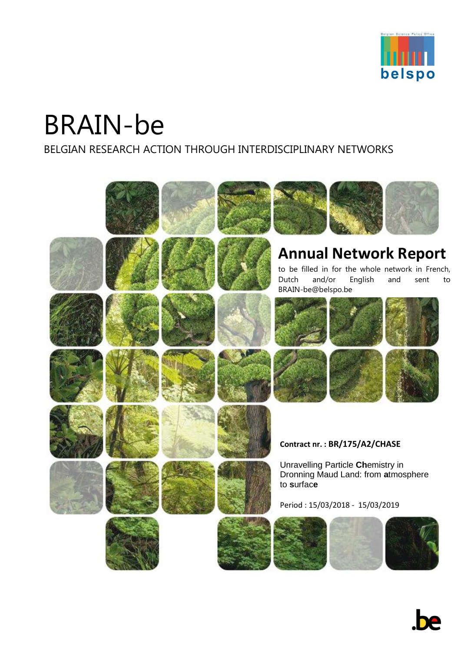

# BRAIN-be

BELGIAN RESEARCH ACTION THROUGH INTERDISCIPLINARY NETWORKS

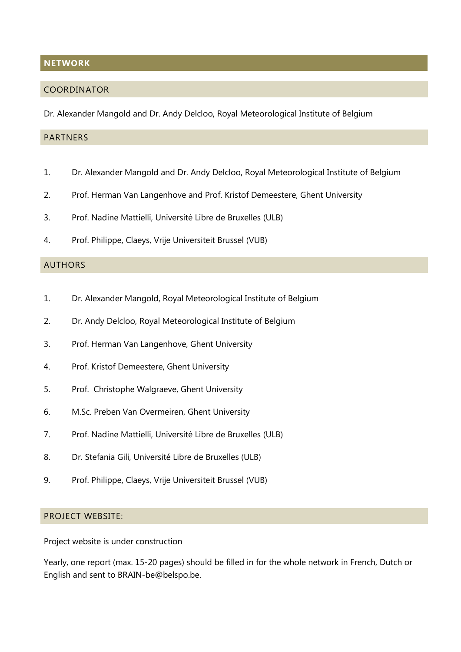#### <span id="page-1-0"></span>**NETWORK**

#### <span id="page-1-1"></span>COORDINATOR

Dr. Alexander Mangold and Dr. Andy Delcloo, Royal Meteorological Institute of Belgium

## <span id="page-1-2"></span>**PARTNERS**

- 1. Dr. Alexander Mangold and Dr. Andy Delcloo, Royal Meteorological Institute of Belgium
- 2. Prof. Herman Van Langenhove and Prof. Kristof Demeestere, Ghent University
- 3. Prof. Nadine Mattielli, Université Libre de Bruxelles (ULB)
- 4. Prof. Philippe, Claeys, Vrije Universiteit Brussel (VUB)

#### <span id="page-1-3"></span>AUTHORS

- 1. Dr. Alexander Mangold, Royal Meteorological Institute of Belgium
- 2. Dr. Andy Delcloo, Royal Meteorological Institute of Belgium
- 3. Prof. Herman Van Langenhove, Ghent University
- 4. Prof. Kristof Demeestere, Ghent University
- 5. Prof. Christophe Walgraeve, Ghent University
- 6. M.Sc. Preben Van Overmeiren, Ghent University
- 7. Prof. Nadine Mattielli, Université Libre de Bruxelles (ULB)
- 8. Dr. Stefania Gili, Université Libre de Bruxelles (ULB)
- 9. Prof. Philippe, Claeys, Vrije Universiteit Brussel (VUB)

## <span id="page-1-4"></span>PROJECT WEBSITE:

Project website is under construction

Yearly, one report (max. 15-20 pages) should be filled in for the whole network in French, Dutch or English and sent to BRAIN-be@belspo.be.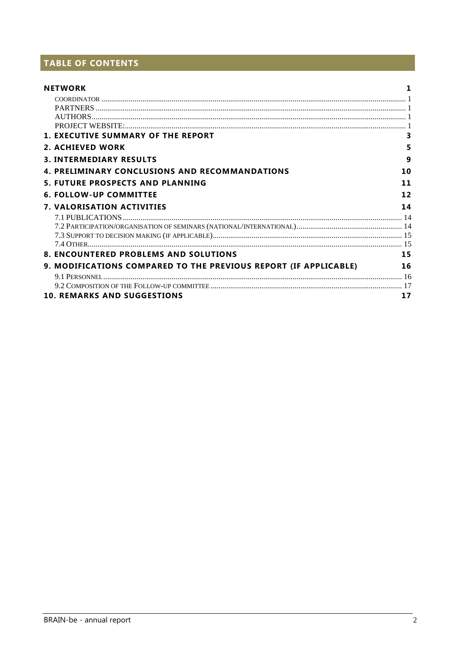# TABLE OF CONTENTS

| <b>NETWORK</b>                                                   |                   |
|------------------------------------------------------------------|-------------------|
|                                                                  |                   |
|                                                                  |                   |
|                                                                  |                   |
|                                                                  |                   |
| <b>1. EXECUTIVE SUMMARY OF THE REPORT</b>                        |                   |
| <b>2. ACHIEVED WORK</b>                                          | 5                 |
| <b>3. INTERMEDIARY RESULTS</b>                                   | 9                 |
| <b>4. PRELIMINARY CONCLUSIONS AND RECOMMANDATIONS</b>            | 10                |
| <b>5. FUTURE PROSPECTS AND PLANNING</b>                          | 11                |
| <b>6. FOLLOW-UP COMMITTEE</b>                                    | $12 \overline{ }$ |
| <b>7. VALORISATION ACTIVITIES</b>                                | 14                |
|                                                                  |                   |
|                                                                  |                   |
|                                                                  |                   |
|                                                                  |                   |
| <b>8. ENCOUNTERED PROBLEMS AND SOLUTIONS</b>                     | 15                |
| 9. MODIFICATIONS COMPARED TO THE PREVIOUS REPORT (IF APPLICABLE) | 16                |
|                                                                  |                   |
|                                                                  |                   |
| <b>10. REMARKS AND SUGGESTIONS</b>                               | 17                |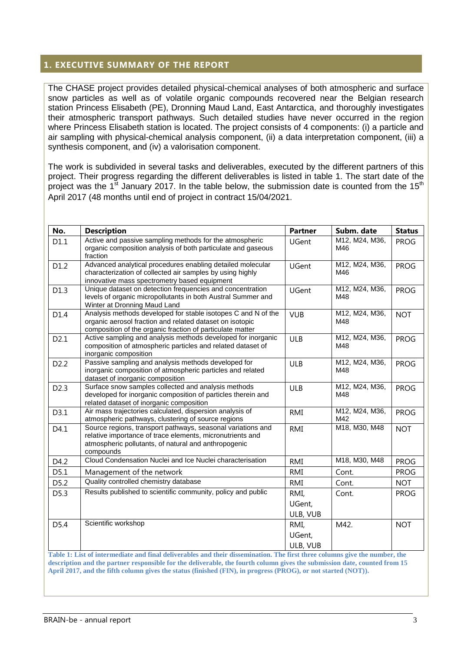## <span id="page-3-0"></span>**1. EXECUTIVE SUMMARY OF THE REPORT**

The CHASE project provides detailed physical-chemical analyses of both atmospheric and surface snow particles as well as of volatile organic compounds recovered near the Belgian research station Princess Elisabeth (PE), Dronning Maud Land, East Antarctica, and thoroughly investigates their atmospheric transport pathways. Such detailed studies have never occurred in the region where Princess Elisabeth station is located. The project consists of 4 components: (i) a particle and air sampling with physical-chemical analysis component, (ii) a data interpretation component, (iii) a synthesis component, and (iv) a valorisation component.

The work is subdivided in several tasks and deliverables, executed by the different partners of this project. Their progress regarding the different deliverables is listed in table 1. The start date of the project was the 1<sup>st</sup> January 2017. In the table below, the submission date is counted from the 15<sup>th</sup> April 2017 (48 months until end of project in contract 15/04/2021.

| D1.1             | Active and passive sampling methods for the atmospheric<br>organic composition analysis of both particulate and gaseous                                                                       | <b>UGent</b> | M12, M24, M36,        |             |
|------------------|-----------------------------------------------------------------------------------------------------------------------------------------------------------------------------------------------|--------------|-----------------------|-------------|
|                  | fraction                                                                                                                                                                                      |              | M46                   | <b>PROG</b> |
| D1.2             | Advanced analytical procedures enabling detailed molecular<br>characterization of collected air samples by using highly<br>innovative mass spectrometry based equipment                       | UGent        | M12, M24, M36,<br>M46 | <b>PROG</b> |
| D1.3             | Unique dataset on detection frequencies and concentration<br>levels of organic micropollutants in both Austral Summer and<br>Winter at Dronning Maud Land                                     | <b>UGent</b> | M12, M24, M36,<br>M48 | <b>PROG</b> |
| D1.4             | Analysis methods developed for stable isotopes C and N of the<br>organic aerosol fraction and related dataset on isotopic<br>composition of the organic fraction of particulate matter        | <b>VUB</b>   | M12, M24, M36,<br>M48 | <b>NOT</b>  |
| D2.1             | Active sampling and analysis methods developed for inorganic<br>composition of atmospheric particles and related dataset of<br>inorganic composition                                          | <b>ULB</b>   | M12, M24, M36,<br>M48 | <b>PROG</b> |
| D <sub>2.2</sub> | Passive sampling and analysis methods developed for<br>inorganic composition of atmospheric particles and related<br>dataset of inorganic composition                                         | <b>ULB</b>   | M12, M24, M36,<br>M48 | <b>PROG</b> |
| D <sub>2.3</sub> | Surface snow samples collected and analysis methods<br>developed for inorganic composition of particles therein and<br>related dataset of inorganic composition                               | <b>ULB</b>   | M12, M24, M36,<br>M48 | <b>PROG</b> |
| D3.1             | Air mass trajectories calculated, dispersion analysis of<br>atmospheric pathways, clustering of source regions                                                                                | <b>RMI</b>   | M12, M24, M36,<br>M42 | <b>PROG</b> |
| D4.1             | Source regions, transport pathways, seasonal variations and<br>relative importance of trace elements, micronutrients and<br>atmospheric pollutants, of natural and anthropogenic<br>compounds | <b>RMI</b>   | M18, M30, M48         | <b>NOT</b>  |
| D4.2             | Cloud Condensation Nuclei and Ice Nuclei characterisation                                                                                                                                     | <b>RMI</b>   | M18, M30, M48         | <b>PROG</b> |
| D5.1             | Management of the network                                                                                                                                                                     | <b>RMI</b>   | Cont.                 | <b>PROG</b> |
| D5.2             | Quality controlled chemistry database                                                                                                                                                         | <b>RMI</b>   | Cont.                 | <b>NOT</b>  |
| D5.3             | Results published to scientific community, policy and public                                                                                                                                  | RMI,         | Cont.                 | <b>PROG</b> |
|                  |                                                                                                                                                                                               | UGent,       |                       |             |
|                  |                                                                                                                                                                                               | ULB, VUB     |                       |             |
| D5.4             | Scientific workshop                                                                                                                                                                           | RMI,         | M42.                  | <b>NOT</b>  |
|                  |                                                                                                                                                                                               | UGent,       |                       |             |
|                  | Table 1: List of intermediate and final deliverables and their dissemination. The first three columns give the number, the                                                                    | ULB, VUB     |                       |             |

**description and the partner responsible for the deliverable, the fourth column gives the submission date, counted from 15 April 2017, and the fifth column gives the status (finished (FIN), in progress (PROG), or not started (NOT)).**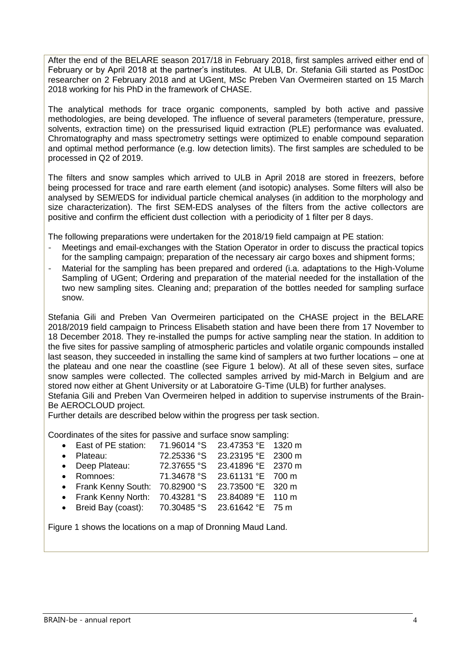After the end of the BELARE season 2017/18 in February 2018, first samples arrived either end of February or by April 2018 at the partner's institutes. At ULB, Dr. Stefania Gili started as PostDoc researcher on 2 February 2018 and at UGent, MSc Preben Van Overmeiren started on 15 March 2018 working for his PhD in the framework of CHASE.

The analytical methods for trace organic components, sampled by both active and passive methodologies, are being developed. The influence of several parameters (temperature, pressure, solvents, extraction time) on the pressurised liquid extraction (PLE) performance was evaluated. Chromatography and mass spectrometry settings were optimized to enable compound separation and optimal method performance (e.g. low detection limits). The first samples are scheduled to be processed in Q2 of 2019.

The filters and snow samples which arrived to ULB in April 2018 are stored in freezers, before being processed for trace and rare earth element (and isotopic) analyses. Some filters will also be analysed by SEM/EDS for individual particle chemical analyses (in addition to the morphology and size characterization). The first SEM-EDS analyses of the filters from the active collectors are positive and confirm the efficient dust collection with a periodicity of 1 filter per 8 days.

The following preparations were undertaken for the 2018/19 field campaign at PE station:

- Meetings and email-exchanges with the Station Operator in order to discuss the practical topics for the sampling campaign; preparation of the necessary air cargo boxes and shipment forms;
- Material for the sampling has been prepared and ordered (i.a. adaptations to the High-Volume Sampling of UGent; Ordering and preparation of the material needed for the installation of the two new sampling sites. Cleaning and; preparation of the bottles needed for sampling surface snow.

Stefania Gili and Preben Van Overmeiren participated on the CHASE project in the BELARE 2018/2019 field campaign to Princess Elisabeth station and have been there from 17 November to 18 December 2018. They re-installed the pumps for active sampling near the station. In addition to the five sites for passive sampling of atmospheric particles and volatile organic compounds installed last season, they succeeded in installing the same kind of samplers at two further locations – one at the plateau and one near the coastline (see Figure 1 below). At all of these seven sites, surface snow samples were collected. The collected samples arrived by mid-March in Belgium and are stored now either at Ghent University or at Laboratoire G-Time (ULB) for further analyses. Stefania Gili and Preben Van Overmeiren helped in addition to supervise instruments of the Brain-Be AEROCLOUD project.

Further details are described below within the progress per task section.

Coordinates of the sites for passive and surface snow sampling:

 East of PE station: 71.96014 °S 23.47353 °E 1320 m Plateau: 72.25336 °S 23.23195 °E 2300 m Deep Plateau: 72.37655 °S 23.41896 °E 2370 m Romnoes: 71.34678 °S 23.61131 °E 700 m Frank Kenny South: 70.82900 °S 23.73500 °E 320 m Frank Kenny North: 70.43281 °S 23.84089 °E 110 m Breid Bay (coast): 70.30485 °S 23.61642 °E 75 m

Figure 1 shows the locations on a map of Dronning Maud Land.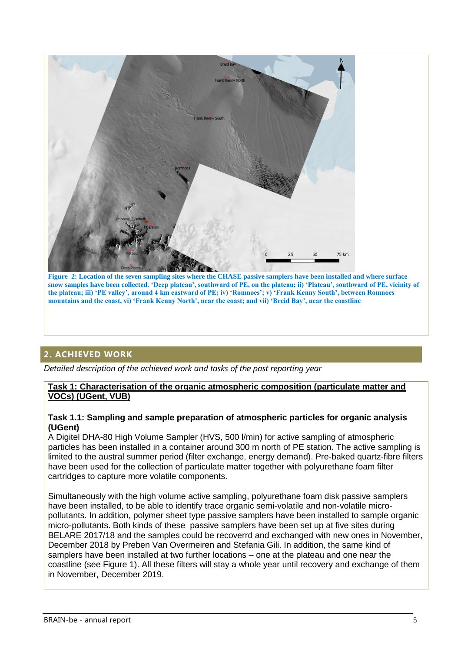

**Figure 2: Location of the seven sampling sites where the CHASE passive samplers have been installed and where surface snow samples have been collected. 'Deep plateau', southward of PE, on the plateau; ii) 'Plateau', southward of PE, vicinity of the plateau; iii) 'PE valley', around 4 km eastward of PE; iv) 'Romnoes'; v) 'Frank Kenny South', between Romnoes mountains and the coast, vi) 'Frank Kenny North', near the coast; and vii) 'Breid Bay', near the coastline**

# <span id="page-5-0"></span>**2. ACHIEVED WORK**

*Detailed description of the achieved work and tasks of the past reporting year*

#### **Task 1: Characterisation of the organic atmospheric composition (particulate matter and VOCs) (UGent, VUB)**

#### **Task 1.1: Sampling and sample preparation of atmospheric particles for organic analysis (UGent)**

A Digitel DHA-80 High Volume Sampler (HVS, 500 l/min) for active sampling of atmospheric particles has been installed in a container around 300 m north of PE station. The active sampling is limited to the austral summer period (filter exchange, energy demand). Pre-baked quartz-fibre filters have been used for the collection of particulate matter together with polyurethane foam filter cartridges to capture more volatile components.

Simultaneously with the high volume active sampling, polyurethane foam disk passive samplers have been installed, to be able to identify trace organic semi-volatile and non-volatile micropollutants. In addition, polymer sheet type passive samplers have been installed to sample organic micro-pollutants. Both kinds of these passive samplers have been set up at five sites during BELARE 2017/18 and the samples could be recoverrd and exchanged with new ones in November, December 2018 by Preben Van Overmeiren and Stefania Gili. In addition, the same kind of samplers have been installed at two further locations – one at the plateau and one near the coastline (see Figure 1). All these filters will stay a whole year until recovery and exchange of them in November, December 2019.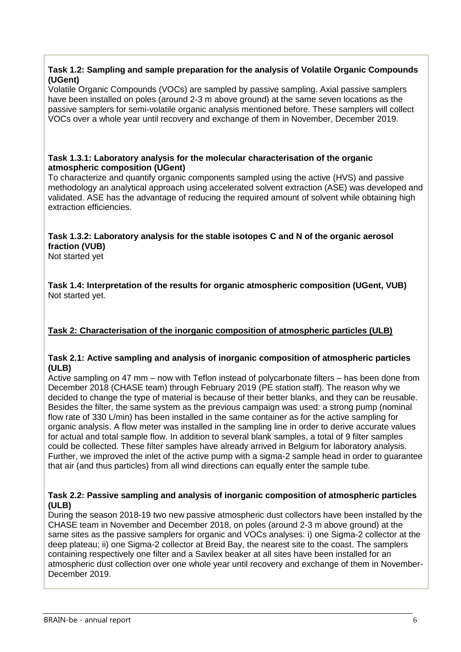#### **Task 1.2: Sampling and sample preparation for the analysis of Volatile Organic Compounds (UGent)**

Volatile Organic Compounds (VOCs) are sampled by passive sampling. Axial passive samplers have been installed on poles (around 2-3 m above ground) at the same seven locations as the passive samplers for semi-volatile organic analysis mentioned before. These samplers will collect VOCs over a whole year until recovery and exchange of them in November, December 2019.

#### **Task 1.3.1: Laboratory analysis for the molecular characterisation of the organic atmospheric composition (UGent)**

To characterize and quantify organic components sampled using the active (HVS) and passive methodology an analytical approach using accelerated solvent extraction (ASE) was developed and validated. ASE has the advantage of reducing the required amount of solvent while obtaining high extraction efficiencies.

## **Task 1.3.2: Laboratory analysis for the stable isotopes C and N of the organic aerosol fraction (VUB)**

Not started yet

**Task 1.4: Interpretation of the results for organic atmospheric composition (UGent, VUB)** Not started yet.

## **Task 2: Characterisation of the inorganic composition of atmospheric particles (ULB)**

#### **Task 2.1: Active sampling and analysis of inorganic composition of atmospheric particles (ULB)**

Active sampling on 47 mm – now with Teflon instead of polycarbonate filters – has been done from December 2018 (CHASE team) through February 2019 (PE station staff). The reason why we decided to change the type of material is because of their better blanks, and they can be reusable. Besides the filter, the same system as the previous campaign was used: a strong pump (nominal flow rate of 330 L/min) has been installed in the same container as for the active sampling for organic analysis. A flow meter was installed in the sampling line in order to derive accurate values for actual and total sample flow. In addition to several blank samples, a total of 9 filter samples could be collected. These filter samples have already arrived in Belgium for laboratory analysis. Further, we improved the inlet of the active pump with a sigma-2 sample head in order to guarantee that air (and thus particles) from all wind directions can equally enter the sample tube.

#### **Task 2.2: Passive sampling and analysis of inorganic composition of atmospheric particles (ULB)**

During the season 2018-19 two new passive atmospheric dust collectors have been installed by the CHASE team in November and December 2018, on poles (around 2-3 m above ground) at the same sites as the passive samplers for organic and VOCs analyses: i) one Sigma-2 collector at the deep plateau; ii) one Sigma-2 collector at Breid Bay, the nearest site to the coast. The samplers containing respectively one filter and a Savilex beaker at all sites have been installed for an atmospheric dust collection over one whole year until recovery and exchange of them in November-December 2019.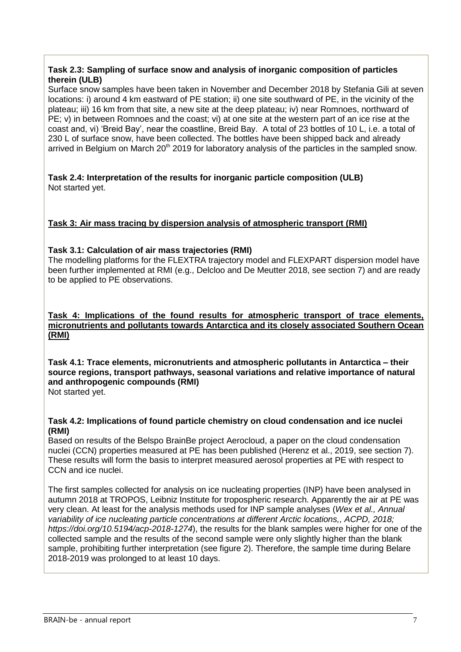#### **Task 2.3: Sampling of surface snow and analysis of inorganic composition of particles therein (ULB)**

Surface snow samples have been taken in November and December 2018 by Stefania Gili at seven locations: i) around 4 km eastward of PE station; ii) one site southward of PE, in the vicinity of the plateau; iii) 16 km from that site, a new site at the deep plateau; iv) near Romnoes, northward of PE; v) in between Romnoes and the coast; vi) at one site at the western part of an ice rise at the coast and, vi) 'Breid Bay', near the coastline, Breid Bay. A total of 23 bottles of 10 L, i.e. a total of 230 L of surface snow, have been collected. The bottles have been shipped back and already arrived in Belgium on March  $20<sup>th</sup> 2019$  for laboratory analysis of the particles in the sampled snow.

#### **Task 2.4: Interpretation of the results for inorganic particle composition (ULB)** Not started yet.

## **Task 3: Air mass tracing by dispersion analysis of atmospheric transport (RMI)**

## **Task 3.1: Calculation of air mass trajectories (RMI)**

The modelling platforms for the FLEXTRA trajectory model and FLEXPART dispersion model have been further implemented at RMI (e.g., Delcloo and De Meutter 2018, see section 7) and are ready to be applied to PE observations.

#### **Task 4: Implications of the found results for atmospheric transport of trace elements, micronutrients and pollutants towards Antarctica and its closely associated Southern Ocean (RMI)**

**Task 4.1: Trace elements, micronutrients and atmospheric pollutants in Antarctica – their source regions, transport pathways, seasonal variations and relative importance of natural and anthropogenic compounds (RMI)** Not started yet.

#### **Task 4.2: Implications of found particle chemistry on cloud condensation and ice nuclei (RMI)**

Based on results of the Belspo BrainBe project Aerocloud, a paper on the cloud condensation nuclei (CCN) properties measured at PE has been published (Herenz et al., 2019, see section 7). These results will form the basis to interpret measured aerosol properties at PE with respect to CCN and ice nuclei.

The first samples collected for analysis on ice nucleating properties (INP) have been analysed in autumn 2018 at TROPOS, Leibniz Institute for tropospheric research. Apparently the air at PE was very clean. At least for the analysis methods used for INP sample analyses (*Wex et al., Annual variability of ice nucleating particle concentrations at different Arctic locations,, ACPD, 2018; https://doi.org/10.5194/acp-2018-1274*), the results for the blank samples were higher for one of the collected sample and the results of the second sample were only slightly higher than the blank sample, prohibiting further interpretation (see figure 2). Therefore, the sample time during Belare 2018-2019 was prolonged to at least 10 days.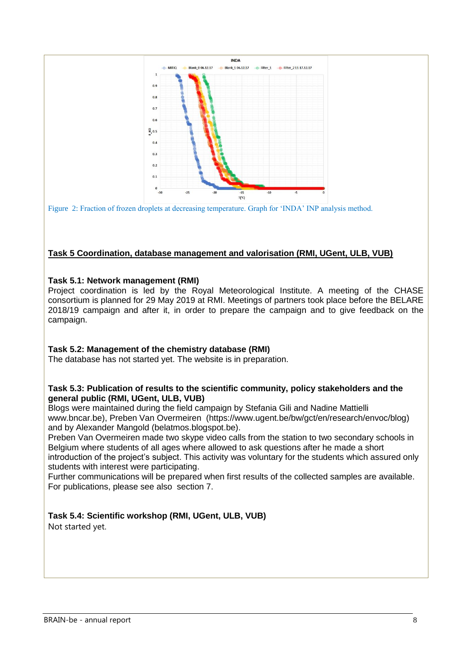



## **Task 5 Coordination, database management and valorisation (RMI, UGent, ULB, VUB)**

#### **Task 5.1: Network management (RMI)**

Project coordination is led by the Royal Meteorological Institute. A meeting of the CHASE consortium is planned for 29 May 2019 at RMI. Meetings of partners took place before the BELARE 2018/19 campaign and after it, in order to prepare the campaign and to give feedback on the campaign.

## **Task 5.2: Management of the chemistry database (RMI)**

The database has not started yet. The website is in preparation.

#### **Task 5.3: Publication of results to the scientific community, policy stakeholders and the general public (RMI, UGent, ULB, VUB)**

Blogs were maintained during the field campaign by Stefania Gili and Nadine Mattielli www.bncar.be), Preben Van Overmeiren (https://www.ugent.be/bw/gct/en/research/envoc/blog) and by Alexander Mangold (belatmos.blogspot.be).

Preben Van Overmeiren made two skype video calls from the station to two secondary schools in Belgium where students of all ages where allowed to ask questions after he made a short introduction of the project's subject. This activity was voluntary for the students which assured only students with interest were participating.

Further communications will be prepared when first results of the collected samples are available. For publications, please see also section 7.

## **Task 5.4: Scientific workshop (RMI, UGent, ULB, VUB)**

Not started yet.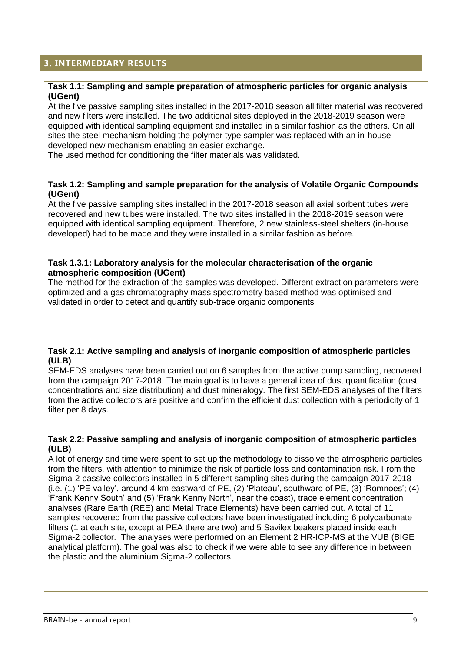## <span id="page-9-0"></span>**3. INTERMEDIARY RESULTS**

#### **Task 1.1: Sampling and sample preparation of atmospheric particles for organic analysis (UGent)**

At the five passive sampling sites installed in the 2017-2018 season all filter material was recovered and new filters were installed. The two additional sites deployed in the 2018-2019 season were equipped with identical sampling equipment and installed in a similar fashion as the others. On all sites the steel mechanism holding the polymer type sampler was replaced with an in-house developed new mechanism enabling an easier exchange.

The used method for conditioning the filter materials was validated.

#### **Task 1.2: Sampling and sample preparation for the analysis of Volatile Organic Compounds (UGent)**

At the five passive sampling sites installed in the 2017-2018 season all axial sorbent tubes were recovered and new tubes were installed. The two sites installed in the 2018-2019 season were equipped with identical sampling equipment. Therefore, 2 new stainless-steel shelters (in-house developed) had to be made and they were installed in a similar fashion as before.

#### **Task 1.3.1: Laboratory analysis for the molecular characterisation of the organic atmospheric composition (UGent)**

The method for the extraction of the samples was developed. Different extraction parameters were optimized and a gas chromatography mass spectrometry based method was optimised and validated in order to detect and quantify sub-trace organic components

#### **Task 2.1: Active sampling and analysis of inorganic composition of atmospheric particles (ULB)**

SEM-EDS analyses have been carried out on 6 samples from the active pump sampling, recovered from the campaign 2017-2018. The main goal is to have a general idea of dust quantification (dust concentrations and size distribution) and dust mineralogy. The first SEM-EDS analyses of the filters from the active collectors are positive and confirm the efficient dust collection with a periodicity of 1 filter per 8 days.

#### **Task 2.2: Passive sampling and analysis of inorganic composition of atmospheric particles (ULB)**

A lot of energy and time were spent to set up the methodology to dissolve the atmospheric particles from the filters, with attention to minimize the risk of particle loss and contamination risk. From the Sigma-2 passive collectors installed in 5 different sampling sites during the campaign 2017-2018 (i.e. (1) 'PE valley', around 4 km eastward of PE, (2) 'Plateau', southward of PE, (3) 'Romnoes'; (4) 'Frank Kenny South' and (5) 'Frank Kenny North', near the coast), trace element concentration analyses (Rare Earth (REE) and Metal Trace Elements) have been carried out. A total of 11 samples recovered from the passive collectors have been investigated including 6 polycarbonate filters (1 at each site, except at PEA there are two) and 5 Savilex beakers placed inside each Sigma-2 collector. The analyses were performed on an Element 2 HR-ICP-MS at the VUB (BIGE analytical platform). The goal was also to check if we were able to see any difference in between the plastic and the aluminium Sigma-2 collectors.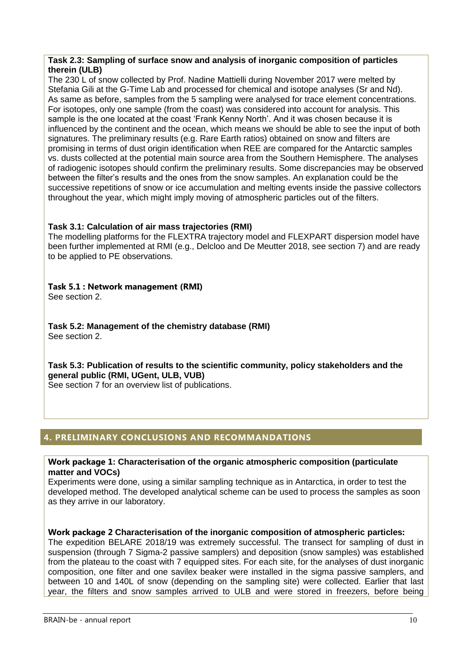#### **Task 2.3: Sampling of surface snow and analysis of inorganic composition of particles therein (ULB)**

The 230 L of snow collected by Prof. Nadine Mattielli during November 2017 were melted by Stefania Gili at the G-Time Lab and processed for chemical and isotope analyses (Sr and Nd). As same as before, samples from the 5 sampling were analysed for trace element concentrations. For isotopes, only one sample (from the coast) was considered into account for analysis. This sample is the one located at the coast 'Frank Kenny North'. And it was chosen because it is influenced by the continent and the ocean, which means we should be able to see the input of both signatures. The preliminary results (e.g. Rare Earth ratios) obtained on snow and filters are promising in terms of dust origin identification when REE are compared for the Antarctic samples vs. dusts collected at the potential main source area from the Southern Hemisphere. The analyses of radiogenic isotopes should confirm the preliminary results. Some discrepancies may be observed between the filter's results and the ones from the snow samples. An explanation could be the successive repetitions of snow or ice accumulation and melting events inside the passive collectors throughout the year, which might imply moving of atmospheric particles out of the filters.

## **Task 3.1: Calculation of air mass trajectories (RMI)**

The modelling platforms for the FLEXTRA trajectory model and FLEXPART dispersion model have been further implemented at RMI (e.g., Delcloo and De Meutter 2018, see section 7) and are ready to be applied to PE observations.

# **Task 5.1 : Network management (RMI)**

See section 2.

**Task 5.2: Management of the chemistry database (RMI)** See section 2.

**Task 5.3: Publication of results to the scientific community, policy stakeholders and the general public (RMI, UGent, ULB, VUB)** See section 7 for an overview list of publications.

# <span id="page-10-0"></span>**4. PRELIMINARY CONCLUSIONS AND RECOMMANDATIONS**

#### **Work package 1: Characterisation of the organic atmospheric composition (particulate matter and VOCs)**

Experiments were done, using a similar sampling technique as in Antarctica, in order to test the developed method. The developed analytical scheme can be used to process the samples as soon as they arrive in our laboratory.

## **Work package 2 Characterisation of the inorganic composition of atmospheric particles:**

The expedition BELARE 2018/19 was extremely successful. The transect for sampling of dust in suspension (through 7 Sigma-2 passive samplers) and deposition (snow samples) was established from the plateau to the coast with 7 equipped sites. For each site, for the analyses of dust inorganic composition, one filter and one savilex beaker were installed in the sigma passive samplers, and between 10 and 140L of snow (depending on the sampling site) were collected. Earlier that last year, the filters and snow samples arrived to ULB and were stored in freezers, before being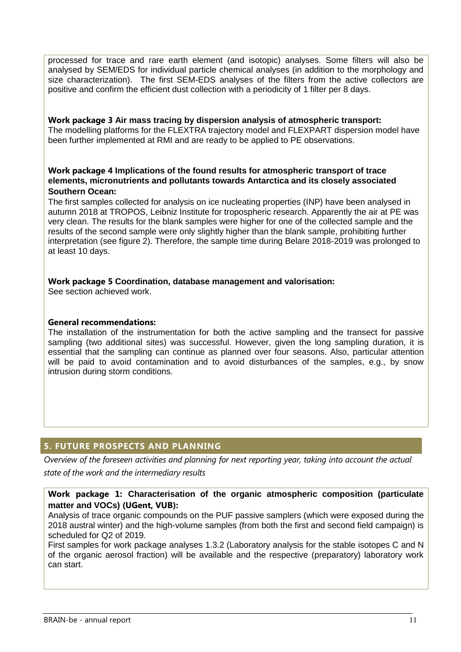processed for trace and rare earth element (and isotopic) analyses. Some filters will also be analysed by SEM/EDS for individual particle chemical analyses (in addition to the morphology and size characterization). The first SEM-EDS analyses of the filters from the active collectors are positive and confirm the efficient dust collection with a periodicity of 1 filter per 8 days.

**Work package 3 Air mass tracing by dispersion analysis of atmospheric transport:** The modelling platforms for the FLEXTRA trajectory model and FLEXPART dispersion model have been further implemented at RMI and are ready to be applied to PE observations.

## **Work package 4 Implications of the found results for atmospheric transport of trace elements, micronutrients and pollutants towards Antarctica and its closely associated Southern Ocean:**

The first samples collected for analysis on ice nucleating properties (INP) have been analysed in autumn 2018 at TROPOS, Leibniz Institute for tropospheric research. Apparently the air at PE was very clean. The results for the blank samples were higher for one of the collected sample and the results of the second sample were only slightly higher than the blank sample, prohibiting further interpretation (see figure 2). Therefore, the sample time during Belare 2018-2019 was prolonged to at least 10 days.

#### **Work package 5 Coordination, database management and valorisation:**

See section achieved work.

## **General recommendations:**

The installation of the instrumentation for both the active sampling and the transect for passive sampling (two additional sites) was successful. However, given the long sampling duration, it is essential that the sampling can continue as planned over four seasons. Also, particular attention will be paid to avoid contamination and to avoid disturbances of the samples, e.g., by snow intrusion during storm conditions.

## <span id="page-11-0"></span>**5. FUTURE PROSPECTS AND PLANNING**

*Overview of the foreseen activities and planning for next reporting year, taking into account the actual state of the work and the intermediary results*

## **Work package 1: Characterisation of the organic atmospheric composition (particulate matter and VOCs) (UGent, VUB):**

Analysis of trace organic compounds on the PUF passive samplers (which were exposed during the 2018 austral winter) and the high-volume samples (from both the first and second field campaign) is scheduled for Q2 of 2019.

First samples for work package analyses 1.3.2 (Laboratory analysis for the stable isotopes C and N of the organic aerosol fraction) will be available and the respective (preparatory) laboratory work can start.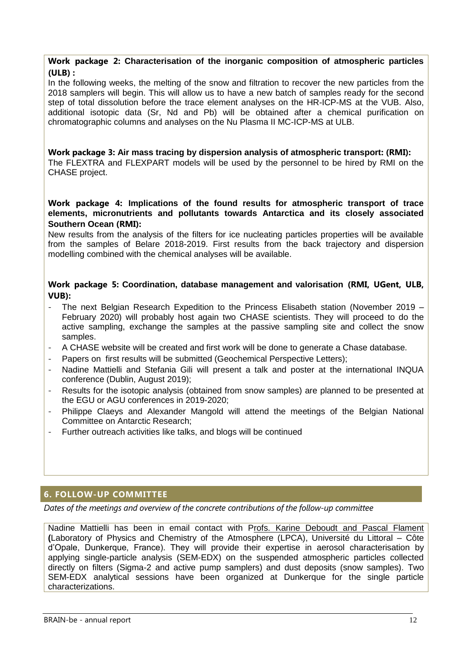#### **Work package 2: Characterisation of the inorganic composition of atmospheric particles (ULB) :**

In the following weeks, the melting of the snow and filtration to recover the new particles from the 2018 samplers will begin. This will allow us to have a new batch of samples ready for the second step of total dissolution before the trace element analyses on the HR-ICP-MS at the VUB. Also, additional isotopic data (Sr, Nd and Pb) will be obtained after a chemical purification on chromatographic columns and analyses on the Nu Plasma II MC-ICP-MS at ULB.

#### **Work package 3: Air mass tracing by dispersion analysis of atmospheric transport: (RMI):** The FLEXTRA and FLEXPART models will be used by the personnel to be hired by RMI on the CHASE project.

#### **Work package 4: Implications of the found results for atmospheric transport of trace elements, micronutrients and pollutants towards Antarctica and its closely associated Southern Ocean (RMI):**

New results from the analysis of the filters for ice nucleating particles properties will be available from the samples of Belare 2018-2019. First results from the back trajectory and dispersion modelling combined with the chemical analyses will be available.

## **Work package 5: Coordination, database management and valorisation (RMI, UGent, ULB, VUB):**

- The next Belgian Research Expedition to the Princess Elisabeth station (November 2019 February 2020) will probably host again two CHASE scientists. They will proceed to do the active sampling, exchange the samples at the passive sampling site and collect the snow samples.
- A CHASE website will be created and first work will be done to generate a Chase database.
- Papers on first results will be submitted (Geochemical Perspective Letters);
- Nadine Mattielli and Stefania Gili will present a talk and poster at the international INQUA conference (Dublin, August 2019);
- Results for the isotopic analysis (obtained from snow samples) are planned to be presented at the EGU or AGU conferences in 2019-2020;
- Philippe Claeys and Alexander Mangold will attend the meetings of the Belgian National Committee on Antarctic Research;
- Further outreach activities like talks, and blogs will be continued

## <span id="page-12-0"></span>**6. FOLLOW-UP COMMITTEE**

*Dates of the meetings and overview of the concrete contributions of the follow-up committee*

Nadine Mattielli has been in email contact with Profs. Karine Deboudt and Pascal Flament **(**Laboratory of Physics and Chemistry of the Atmosphere (LPCA), Université du Littoral – Côte d'Opale, Dunkerque, France). They will provide their expertise in aerosol characterisation by applying single-particle analysis (SEM-EDX) on the suspended atmospheric particles collected directly on filters (Sigma-2 and active pump samplers) and dust deposits (snow samples). Two SEM-EDX analytical sessions have been organized at Dunkerque for the single particle characterizations.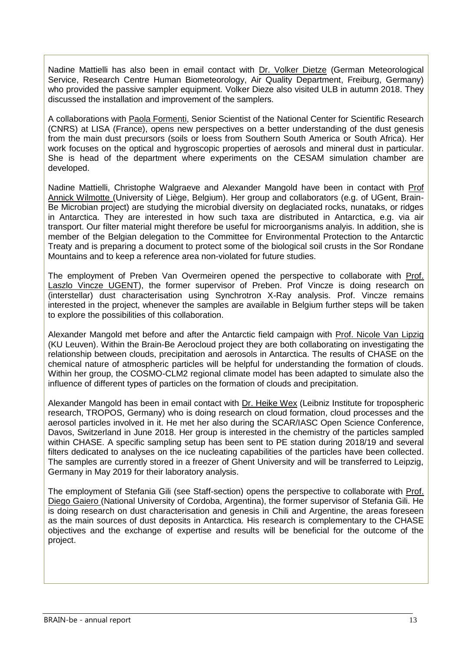Nadine Mattielli has also been in email contact with Dr. Volker Dietze (German Meteorological Service, Research Centre Human Biometeorology, Air Quality Department, Freiburg, Germany) who provided the passive sampler equipment. Volker Dieze also visited ULB in autumn 2018. They discussed the installation and improvement of the samplers.

A collaborations with Paola Formenti, Senior Scientist of the National Center for Scientific Research (CNRS) at LISA (France), opens new perspectives on a better understanding of the dust genesis from the main dust precursors (soils or loess from Southern South America or South Africa). Her work focuses on the optical and hygroscopic properties of aerosols and mineral dust in particular. She is head of the department where experiments on the CESAM simulation chamber are developed.

Nadine Mattielli, Christophe Walgraeve and Alexander Mangold have been in contact with Prof Annick Wilmotte (University of Liège, Belgium). Her group and collaborators (e.g. of UGent, Brain-Be Microbian project) are studying the microbial diversity on deglaciated rocks, nunataks, or ridges in Antarctica. They are interested in how such taxa are distributed in Antarctica, e.g. via air transport. Our filter material might therefore be useful for microorganisms analyis. In addition, she is member of the Belgian delegation to the Committee for Environmental Protection to the Antarctic Treaty and is preparing a document to protect some of the biological soil crusts in the Sor Rondane Mountains and to keep a reference area non-violated for future studies.

The employment of Preben Van Overmeiren opened the perspective to collaborate with Prof. Laszlo Vincze UGENT), the former supervisor of Preben. Prof Vincze is doing research on (interstellar) dust characterisation using Synchrotron X-Ray analysis. Prof. Vincze remains interested in the project, whenever the samples are available in Belgium further steps will be taken to explore the possibilities of this collaboration.

Alexander Mangold met before and after the Antarctic field campaign with Prof. Nicole Van Lipzig (KU Leuven). Within the Brain-Be Aerocloud project they are both collaborating on investigating the relationship between clouds, precipitation and aerosols in Antarctica. The results of CHASE on the chemical nature of atmospheric particles will be helpful for understanding the formation of clouds. Within her group, the COSMO-CLM2 regional climate model has been adapted to simulate also the influence of different types of particles on the formation of clouds and precipitation.

Alexander Mangold has been in email contact with Dr. Heike Wex (Leibniz Institute for tropospheric research, TROPOS, Germany) who is doing research on cloud formation, cloud processes and the aerosol particles involved in it. He met her also during the SCAR/IASC Open Science Conference, Davos, Switzerland in June 2018. Her group is interested in the chemistry of the particles sampled within CHASE. A specific sampling setup has been sent to PE station during 2018/19 and several filters dedicated to analyses on the ice nucleating capabilities of the particles have been collected. The samples are currently stored in a freezer of Ghent University and will be transferred to Leipzig, Germany in May 2019 for their laboratory analysis.

The employment of Stefania Gili (see Staff-section) opens the perspective to collaborate with Prof. Diego Gaiero (National University of Cordoba, Argentina), the former supervisor of Stefania Gili. He is doing research on dust characterisation and genesis in Chili and Argentine, the areas foreseen as the main sources of dust deposits in Antarctica. His research is complementary to the CHASE objectives and the exchange of expertise and results will be beneficial for the outcome of the project.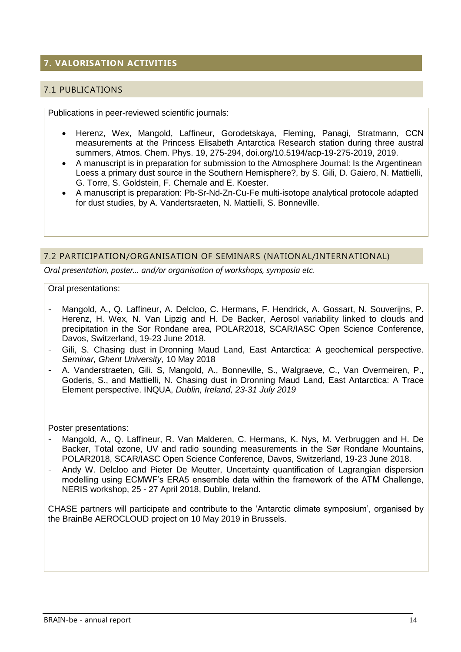# <span id="page-14-0"></span>**7. VALORISATION ACTIVITIES**

## <span id="page-14-1"></span>7.1 PUBLICATIONS

Publications in peer-reviewed scientific journals:

- Herenz, Wex, Mangold, Laffineur, Gorodetskaya, Fleming, Panagi, Stratmann, CCN measurements at the Princess Elisabeth Antarctica Research station during three austral summers, Atmos. Chem. Phys. 19, 275-294, doi.org/10.5194/acp-19-275-2019, 2019.
- A manuscript is in preparation for submission to the Atmosphere Journal: Is the Argentinean Loess a primary dust source in the Southern Hemisphere?, by S. Gili, D. Gaiero, N. Mattielli, G. Torre, S. Goldstein, F. Chemale and E. Koester.
- A manuscript is preparation: Pb-Sr-Nd-Zn-Cu-Fe multi-isotope analytical protocole adapted for dust studies, by A. Vandertsraeten, N. Mattielli, S. Bonneville.

#### <span id="page-14-2"></span>7.2 PARTICIPATION/ORGANISATION OF SEMINARS (NATIONAL/INTERNATIONAL)

*Oral presentation, poster… and/or organisation of workshops, symposia etc.*

Oral presentations:

- Mangold, A., Q. Laffineur, A. Delcloo, C. Hermans, F. Hendrick, A. Gossart, N. Souverijns, P. Herenz, H. Wex, N. Van Lipzig and H. De Backer, Aerosol variability linked to clouds and precipitation in the Sor Rondane area, POLAR2018, SCAR/IASC Open Science Conference, Davos, Switzerland, 19-23 June 2018.
- Gili, S. Chasing dust in Dronning Maud Land, East Antarctica: A geochemical perspective. *Seminar, Ghent University,* 10 May 2018
- A. Vanderstraeten, Gili. S, Mangold, A., Bonneville, S., Walgraeve, C., Van Overmeiren, P., Goderis, S., and Mattielli, N. Chasing dust in Dronning Maud Land, East Antarctica: A Trace Element perspective. INQUA, *Dublin, Ireland, 23-31 July 2019*

Poster presentations:

- Mangold, A., Q. Laffineur, R. Van Malderen, C. Hermans, K. Nys, M. Verbruggen and H. De Backer, Total ozone, UV and radio sounding measurements in the Sør Rondane Mountains, POLAR2018, SCAR/IASC Open Science Conference, Davos, Switzerland, 19-23 June 2018.
- Andy W. Delcloo and Pieter De Meutter, Uncertainty quantification of Lagrangian dispersion modelling using ECMWF's ERA5 ensemble data within the framework of the ATM Challenge, NERIS workshop, 25 - 27 April 2018, Dublin, Ireland.

CHASE partners will participate and contribute to the 'Antarctic climate symposium', organised by the BrainBe AEROCLOUD project on 10 May 2019 in Brussels.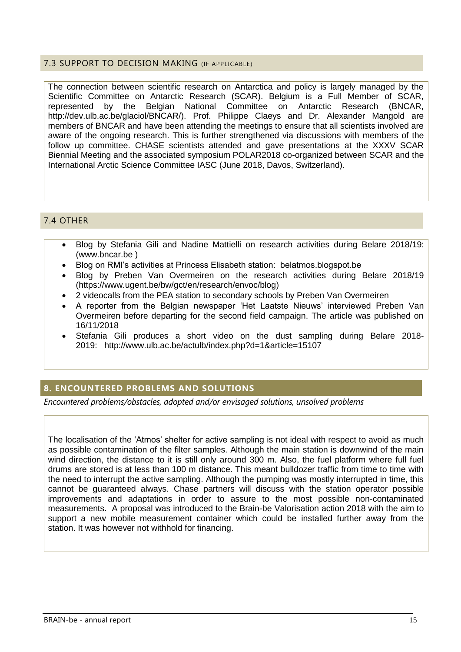## <span id="page-15-0"></span>7.3 SUPPORT TO DECISION MAKING (IF APPLICABLE)

The connection between scientific research on Antarctica and policy is largely managed by the Scientific Committee on Antarctic Research (SCAR). Belgium is a Full Member of SCAR, represented by the Belgian National Committee on Antarctic Research (BNCAR, http://dev.ulb.ac.be/glaciol/BNCAR/). Prof. Philippe Claeys and Dr. Alexander Mangold are members of BNCAR and have been attending the meetings to ensure that all scientists involved are aware of the ongoing research. This is further strengthened via discussions with members of the follow up committee. CHASE scientists attended and gave presentations at the XXXV SCAR Biennial Meeting and the associated symposium POLAR2018 co-organized between SCAR and the International Arctic Science Committee IASC (June 2018, Davos, Switzerland).

## <span id="page-15-1"></span>7.4 OTHER

- Blog by Stefania Gili and Nadine Mattielli on research activities during Belare 2018/19: (www.bncar.be )
- Blog on RMI's activities at Princess Elisabeth station: belatmos.blogspot.be
- Blog by Preben Van Overmeiren on the research activities during Belare 2018/19 (https://www.ugent.be/bw/gct/en/research/envoc/blog)
- 2 videocalls from the PEA station to secondary schools by Preben Van Overmeiren
- A reporter from the Belgian newspaper 'Het Laatste Nieuws' interviewed Preben Van Overmeiren before departing for the second field campaign. The article was published on 16/11/2018
- Stefania Gili produces a short video on the dust sampling during Belare 2018- 2019: http://www.ulb.ac.be/actulb/index.php?d=1&article=15107

## <span id="page-15-2"></span>**8. ENCOUNTERED PROBLEMS AND SOLUTIONS**

*Encountered problems/obstacles, adopted and/or envisaged solutions, unsolved problems*

The localisation of the 'Atmos' shelter for active sampling is not ideal with respect to avoid as much as possible contamination of the filter samples. Although the main station is downwind of the main wind direction, the distance to it is still only around 300 m. Also, the fuel platform where full fuel drums are stored is at less than 100 m distance. This meant bulldozer traffic from time to time with the need to interrupt the active sampling. Although the pumping was mostly interrupted in time, this cannot be guaranteed always. Chase partners will discuss with the station operator possible improvements and adaptations in order to assure to the most possible non-contaminated measurements. A proposal was introduced to the Brain-be Valorisation action 2018 with the aim to support a new mobile measurement container which could be installed further away from the station. It was however not withhold for financing.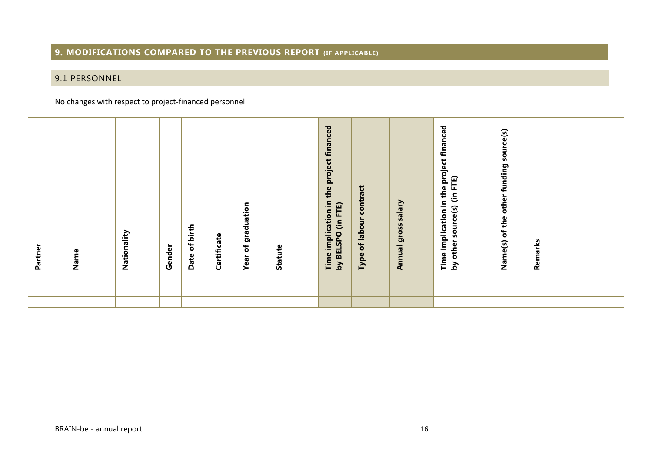## **9. MODIFICATIONS COMPARED TO THE PREVIOUS REPORT (IF APPLICABLE)**

# 9.1 PERSONNEL

#### No changes with respect to project-financed personnel

<span id="page-16-1"></span><span id="page-16-0"></span>

| <b>Dent</b><br>Part | Name | Nationality | Gender | Date of birth | Certificate | graduation<br>$\mathbf{\tilde{o}}$<br>Year | Statute | financed<br>project<br>the<br>Time implication in<br>by BELSPO (in FTE) | of labour contract<br>Type | Salary<br>gross<br>Annual | Time implication in the project financed<br>source(s) (in FTE)<br>other<br>$\mathbf{\Sigma}$ | funding source(s)<br>other<br>of the<br>Name(s) | Remarks |
|---------------------|------|-------------|--------|---------------|-------------|--------------------------------------------|---------|-------------------------------------------------------------------------|----------------------------|---------------------------|----------------------------------------------------------------------------------------------|-------------------------------------------------|---------|
|                     |      |             |        |               |             |                                            |         |                                                                         |                            |                           |                                                                                              |                                                 |         |
|                     |      |             |        |               |             |                                            |         |                                                                         |                            |                           |                                                                                              |                                                 |         |
|                     |      |             |        |               |             |                                            |         |                                                                         |                            |                           |                                                                                              |                                                 |         |